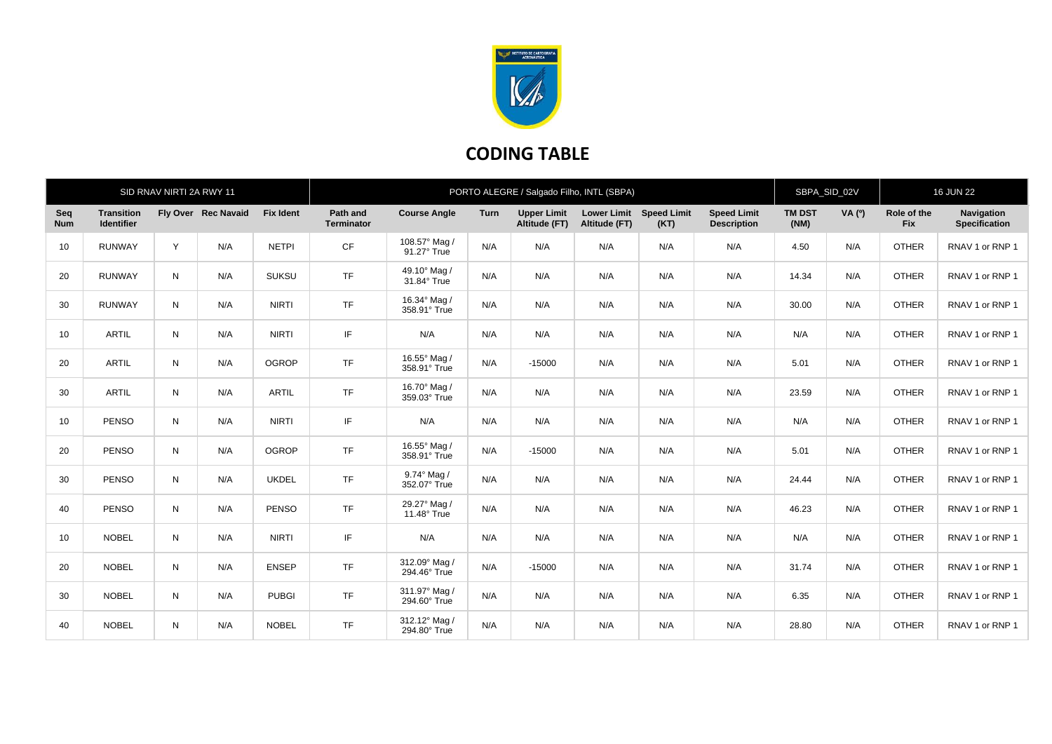

## **CODING TABLE**

| SID RNAV NIRTI 2A RWY 11 |                                        |   |                     |                  | PORTO ALEGRE / Salgado Filho, INTL (SBPA) |                               |      |                                     |                                     |                            | SBPA_SID_02V                             |                       | <b>16 JUN 22</b> |                           |                                    |
|--------------------------|----------------------------------------|---|---------------------|------------------|-------------------------------------------|-------------------------------|------|-------------------------------------|-------------------------------------|----------------------------|------------------------------------------|-----------------------|------------------|---------------------------|------------------------------------|
| Seq<br><b>Num</b>        | <b>Transition</b><br><b>Identifier</b> |   | Fly Over Rec Navaid | <b>Fix Ident</b> | Path and<br><b>Terminator</b>             | <b>Course Angle</b>           | Turn | <b>Upper Limit</b><br>Altitude (FT) | <b>Lower Limit</b><br>Altitude (FT) | <b>Speed Limit</b><br>(KT) | <b>Speed Limit</b><br><b>Description</b> | <b>TM DST</b><br>(NM) | VA(°)            | Role of the<br><b>Fix</b> | <b>Navigation</b><br>Specification |
| 10                       | <b>RUNWAY</b>                          | Y | N/A                 | <b>NETPI</b>     | CF                                        | 108.57° Mag /<br>91.27° True  | N/A  | N/A                                 | N/A                                 | N/A                        | N/A                                      | 4.50                  | N/A              | <b>OTHER</b>              | RNAV 1 or RNP 1                    |
| 20                       | <b>RUNWAY</b>                          | N | N/A                 | <b>SUKSU</b>     | <b>TF</b>                                 | 49.10° Mag /<br>31.84° True   | N/A  | N/A                                 | N/A                                 | N/A                        | N/A                                      | 14.34                 | N/A              | <b>OTHER</b>              | RNAV 1 or RNP 1                    |
| 30                       | <b>RUNWAY</b>                          | N | N/A                 | <b>NIRTI</b>     | TF                                        | 16.34° Mag /<br>358.91° True  | N/A  | N/A                                 | N/A                                 | N/A                        | N/A                                      | 30.00                 | N/A              | <b>OTHER</b>              | RNAV 1 or RNP 1                    |
| 10                       | <b>ARTIL</b>                           | N | N/A                 | <b>NIRTI</b>     | IF.                                       | N/A                           | N/A  | N/A                                 | N/A                                 | N/A                        | N/A                                      | N/A                   | N/A              | <b>OTHER</b>              | RNAV 1 or RNP 1                    |
| 20                       | <b>ARTIL</b>                           | N | N/A                 | <b>OGROP</b>     | <b>TF</b>                                 | 16.55° Mag /<br>358.91° True  | N/A  | $-15000$                            | N/A                                 | N/A                        | N/A                                      | 5.01                  | N/A              | <b>OTHER</b>              | RNAV 1 or RNP 1                    |
| 30                       | <b>ARTIL</b>                           | N | N/A                 | <b>ARTIL</b>     | <b>TF</b>                                 | 16.70° Mag /<br>359.03° True  | N/A  | N/A                                 | N/A                                 | N/A                        | N/A                                      | 23.59                 | N/A              | <b>OTHER</b>              | RNAV 1 or RNP 1                    |
| 10                       | <b>PENSO</b>                           | N | N/A                 | <b>NIRTI</b>     | IF.                                       | N/A                           | N/A  | N/A                                 | N/A                                 | N/A                        | N/A                                      | N/A                   | N/A              | <b>OTHER</b>              | RNAV 1 or RNP 1                    |
| 20                       | <b>PENSO</b>                           | N | N/A                 | <b>OGROP</b>     | <b>TF</b>                                 | 16.55° Mag /<br>358.91° True  | N/A  | $-15000$                            | N/A                                 | N/A                        | N/A                                      | 5.01                  | N/A              | <b>OTHER</b>              | RNAV 1 or RNP 1                    |
| 30                       | <b>PENSO</b>                           | N | N/A                 | <b>UKDEL</b>     | <b>TF</b>                                 | 9.74° Mag /<br>352.07° True   | N/A  | N/A                                 | N/A                                 | N/A                        | N/A                                      | 24.44                 | N/A              | <b>OTHER</b>              | RNAV 1 or RNP 1                    |
| 40                       | <b>PENSO</b>                           | N | N/A                 | <b>PENSO</b>     | <b>TF</b>                                 | 29.27° Mag /<br>11.48° True   | N/A  | N/A                                 | N/A                                 | N/A                        | N/A                                      | 46.23                 | N/A              | <b>OTHER</b>              | RNAV 1 or RNP 1                    |
| 10                       | <b>NOBEL</b>                           | N | N/A                 | <b>NIRTI</b>     | IF                                        | N/A                           | N/A  | N/A                                 | N/A                                 | N/A                        | N/A                                      | N/A                   | N/A              | <b>OTHER</b>              | RNAV 1 or RNP 1                    |
| 20                       | <b>NOBEL</b>                           | N | N/A                 | <b>ENSEP</b>     | <b>TF</b>                                 | 312.09° Mag /<br>294.46° True | N/A  | $-15000$                            | N/A                                 | N/A                        | N/A                                      | 31.74                 | N/A              | <b>OTHER</b>              | RNAV 1 or RNP 1                    |
| 30                       | <b>NOBEL</b>                           | N | N/A                 | <b>PUBGI</b>     | <b>TF</b>                                 | 311.97° Mag /<br>294.60° True | N/A  | N/A                                 | N/A                                 | N/A                        | N/A                                      | 6.35                  | N/A              | <b>OTHER</b>              | RNAV 1 or RNP 1                    |
| 40                       | <b>NOBEL</b>                           | N | N/A                 | <b>NOBEL</b>     | TF                                        | 312.12° Mag /<br>294.80° True | N/A  | N/A                                 | N/A                                 | N/A                        | N/A                                      | 28.80                 | N/A              | <b>OTHER</b>              | RNAV 1 or RNP 1                    |